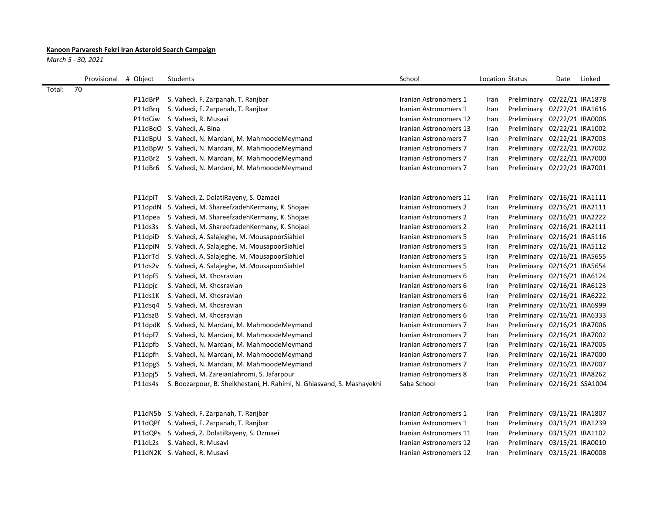## **Kanoon Parvaresh Fekri Iran Asteroid Search Campaign**

*March 5 - 30, 2021*

|        | Provisional | # Object | Students                                                               | School                 | Location Status |                              | Date             | Linked |
|--------|-------------|----------|------------------------------------------------------------------------|------------------------|-----------------|------------------------------|------------------|--------|
| Total: | 70          |          |                                                                        |                        |                 |                              |                  |        |
|        |             | P11dBrP  | S. Vahedi, F. Zarpanah, T. Ranjbar                                     | Iranian Astronomers 1  | Iran            | Preliminary 02/22/21 IRA1878 |                  |        |
|        |             | P11dBrg  | S. Vahedi, F. Zarpanah, T. Ranjbar                                     | Iranian Astronomers 1  | Iran            | Preliminary 02/22/21 IRA1616 |                  |        |
|        |             | P11dCiw  | S. Vahedi, R. Musavi                                                   | Iranian Astronomers 12 | Iran            | Preliminary 02/22/21 IRA0006 |                  |        |
|        |             |          | P11dBqO S. Vahedi, A. Bina                                             | Iranian Astronomers 13 | Iran            | Preliminary 02/22/21 IRA1002 |                  |        |
|        |             |          | P11dBpU S. Vahedi, N. Mardani, M. MahmoodeMeymand                      | Iranian Astronomers 7  | Iran            | Preliminary 02/22/21 IRA7003 |                  |        |
|        |             |          | P11dBpW S. Vahedi, N. Mardani, M. MahmoodeMeymand                      | Iranian Astronomers 7  | Iran            | Preliminary 02/22/21 IRA7002 |                  |        |
|        |             |          | P11dBr2 S. Vahedi, N. Mardani, M. MahmoodeMeymand                      | Iranian Astronomers 7  | Iran            | Preliminary 02/22/21 IRA7000 |                  |        |
|        |             |          | P11dBr6 S. Vahedi, N. Mardani, M. MahmoodeMeymand                      | Iranian Astronomers 7  | Iran            | Preliminary 02/22/21 IRA7001 |                  |        |
|        |             |          |                                                                        |                        |                 |                              |                  |        |
|        |             | P11dpiT  | S. Vahedi, Z. DolatiRayeny, S. Ozmaei                                  | Iranian Astronomers 11 | Iran            | Preliminary 02/16/21 IRA1111 |                  |        |
|        |             |          | P11dpdN S. Vahedi, M. ShareefzadehKermany, K. Shojaei                  | Iranian Astronomers 2  | Iran            | Preliminary 02/16/21 IRA2111 |                  |        |
|        |             | P11dpea  | S. Vahedi, M. ShareefzadehKermany, K. Shojaei                          | Iranian Astronomers 2  | Iran            | Preliminary 02/16/21 IRA2222 |                  |        |
|        |             | P11ds3s  | S. Vahedi, M. ShareefzadehKermany, K. Shojaei                          | Iranian Astronomers 2  | Iran            | Preliminary 02/16/21 IRA2111 |                  |        |
|        |             | P11dpiD  | S. Vahedi, A. Salajeghe, M. MousapoorSiahJel                           | Iranian Astronomers 5  | Iran            | Preliminary 02/16/21 IRA5116 |                  |        |
|        |             | P11dpiN  | S. Vahedi, A. Salajeghe, M. MousapoorSiahJel                           | Iranian Astronomers 5  | Iran            | Preliminary 02/16/21 IRA5112 |                  |        |
|        |             | P11drTd  | S. Vahedi, A. Salajeghe, M. MousapoorSiahJel                           | Iranian Astronomers 5  | Iran            | Preliminary 02/16/21 IRA5655 |                  |        |
|        |             | P11ds2v  | S. Vahedi, A. Salajeghe, M. MousapoorSiahJel                           | Iranian Astronomers 5  | Iran            | Preliminary 02/16/21 IRA5654 |                  |        |
|        |             | P11dpf5  | S. Vahedi, M. Khosravian                                               | Iranian Astronomers 6  | Iran            | Preliminary 02/16/21 IRA6124 |                  |        |
|        |             | P11dpjc  | S. Vahedi, M. Khosravian                                               | Iranian Astronomers 6  | Iran            | Preliminary                  | 02/16/21 IRA6123 |        |
|        |             | P11ds1K  | S. Vahedi, M. Khosravian                                               | Iranian Astronomers 6  | Iran            | Preliminary                  | 02/16/21 IRA6222 |        |
|        |             | P11dsq4  | S. Vahedi, M. Khosravian                                               | Iranian Astronomers 6  | Iran            | Preliminary                  | 02/16/21 IRA6999 |        |
|        |             | P11dszB  | S. Vahedi, M. Khosravian                                               | Iranian Astronomers 6  | Iran            | Preliminary                  | 02/16/21 IRA6333 |        |
|        |             |          | P11dpdK S. Vahedi, N. Mardani, M. MahmoodeMeymand                      | Iranian Astronomers 7  | Iran            | Preliminary                  | 02/16/21 IRA7006 |        |
|        |             | P11dpf7  | S. Vahedi, N. Mardani, M. MahmoodeMeymand                              | Iranian Astronomers 7  | Iran            | Preliminary                  | 02/16/21 IRA7002 |        |
|        |             | P11dpfb  | S. Vahedi, N. Mardani, M. MahmoodeMeymand                              | Iranian Astronomers 7  | Iran            | Preliminary                  | 02/16/21 IRA7005 |        |
|        |             | P11dpfh  | S. Vahedi, N. Mardani, M. MahmoodeMeymand                              | Iranian Astronomers 7  | Iran            | Preliminary                  | 02/16/21 IRA7000 |        |
|        |             | P11dpgS  | S. Vahedi, N. Mardani, M. MahmoodeMeymand                              | Iranian Astronomers 7  | Iran            | Preliminary                  | 02/16/21 IRA7007 |        |
|        |             | P11dpj5  | S. Vahedi, M. ZareianJahromi, S. Jafarpour                             | Iranian Astronomers 8  | Iran            | Preliminary                  | 02/16/21 IRA8262 |        |
|        |             | P11ds4s  | S. Boozarpour, B. Sheikhestani, H. Rahimi, N. Ghiasvand, S. Mashayekhi | Saba School            | Iran            | Preliminary 02/16/21 SSA1004 |                  |        |
|        |             |          |                                                                        |                        |                 |                              |                  |        |
|        |             |          | P11dN5b S. Vahedi, F. Zarpanah, T. Ranjbar                             | Iranian Astronomers 1  | Iran            | Preliminary                  | 03/15/21 IRA1807 |        |
|        |             |          | P11dQPf S. Vahedi, F. Zarpanah, T. Ranjbar                             | Iranian Astronomers 1  | Iran            | Preliminary 03/15/21 IRA1239 |                  |        |
|        |             |          | P11dQPs S. Vahedi, Z. DolatiRayeny, S. Ozmaei                          | Iranian Astronomers 11 | Iran            | Preliminary                  | 03/15/21 IRA1102 |        |
|        |             | P11dL2s  | S. Vahedi, R. Musavi                                                   | Iranian Astronomers 12 | Iran            | Preliminary 03/15/21 IRA0010 |                  |        |

P11dN2K S. Vahedi, R. Musavi **Iranian Astronomers 12** Iran Preliminary 03/15/21 IRA0008